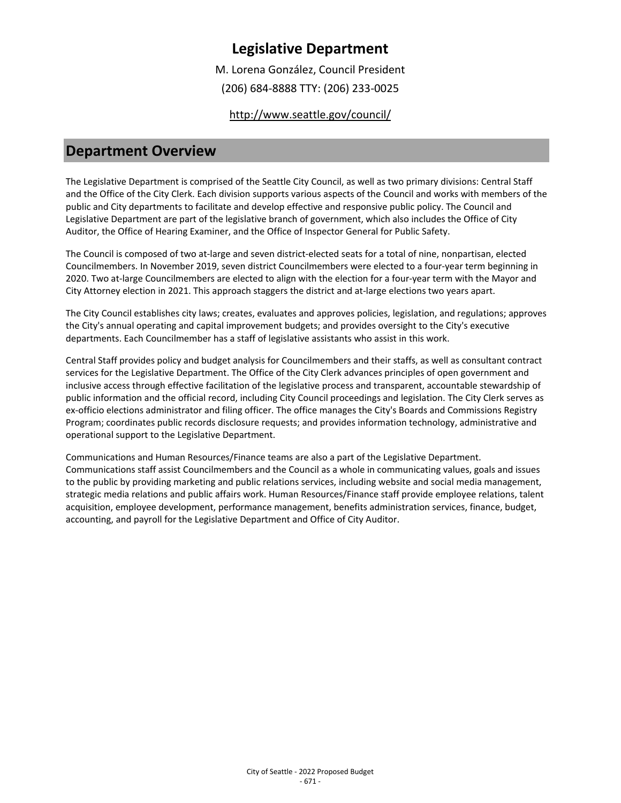M. Lorena González, Council President

(206) 684-8888 TTY: (206) 233-0025

<http://www.seattle.gov/council/>

### **Department Overview**

The Legislative Department is comprised of the Seattle City Council, as well as two primary divisions: Central Staff and the Office of the City Clerk. Each division supports various aspects of the Council and works with members of the public and City departments to facilitate and develop effective and responsive public policy. The Council and Legislative Department are part of the legislative branch of government, which also includes the Office of City Auditor, the Office of Hearing Examiner, and the Office of Inspector General for Public Safety.

The Council is composed of two at-large and seven district-elected seats for a total of nine, nonpartisan, elected Councilmembers. In November 2019, seven district Councilmembers were elected to a four-year term beginning in 2020. Two at-large Councilmembers are elected to align with the election for a four-year term with the Mayor and City Attorney election in 2021. This approach staggers the district and at-large elections two years apart.

The City Council establishes city laws; creates, evaluates and approves policies, legislation, and regulations; approves the City's annual operating and capital improvement budgets; and provides oversight to the City's executive departments. Each Councilmember has a staff of legislative assistants who assist in this work.

Central Staff provides policy and budget analysis for Councilmembers and their staffs, as well as consultant contract services for the Legislative Department. The Office of the City Clerk advances principles of open government and inclusive access through effective facilitation of the legislative process and transparent, accountable stewardship of public information and the official record, including City Council proceedings and legislation. The City Clerk serves as ex-officio elections administrator and filing officer. The office manages the City's Boards and Commissions Registry Program; coordinates public records disclosure requests; and provides information technology, administrative and operational support to the Legislative Department.

Communications and Human Resources/Finance teams are also a part of the Legislative Department. Communications staff assist Councilmembers and the Council as a whole in communicating values, goals and issues to the public by providing marketing and public relations services, including website and social media management, strategic media relations and public affairs work. Human Resources/Finance staff provide employee relations, talent acquisition, employee development, performance management, benefits administration services, finance, budget, accounting, and payroll for the Legislative Department and Office of City Auditor.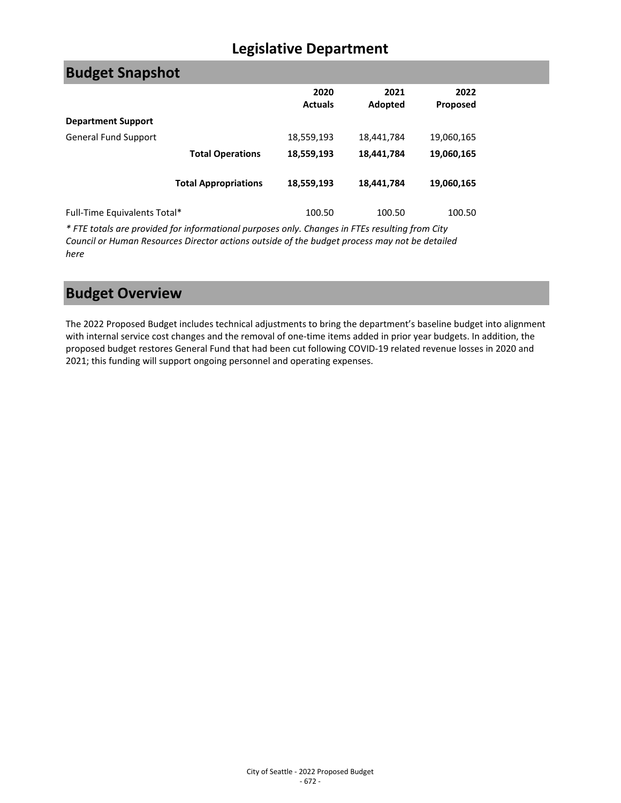| <b>Budget Snapshot</b>       |                             |                        |                 |                         |  |
|------------------------------|-----------------------------|------------------------|-----------------|-------------------------|--|
|                              |                             | 2020<br><b>Actuals</b> | 2021<br>Adopted | 2022<br><b>Proposed</b> |  |
| <b>Department Support</b>    |                             |                        |                 |                         |  |
| General Fund Support         |                             | 18,559,193             | 18,441,784      | 19,060,165              |  |
|                              | <b>Total Operations</b>     | 18,559,193             | 18,441,784      | 19,060,165              |  |
|                              | <b>Total Appropriations</b> | 18,559,193             | 18,441,784      | 19,060,165              |  |
| Full-Time Equivalents Total* |                             | 100.50                 | 100.50          | 100.50                  |  |

*\* FTE totals are provided for informational purposes only. Changes in FTEs resulting from City Council or Human Resources Director actions outside of the budget process may not be detailed here*

# **Budget Overview**

The 2022 Proposed Budget includes technical adjustments to bring the department's baseline budget into alignment with internal service cost changes and the removal of one-time items added in prior year budgets. In addition, the proposed budget restores General Fund that had been cut following COVID-19 related revenue losses in 2020 and 2021; this funding will support ongoing personnel and operating expenses.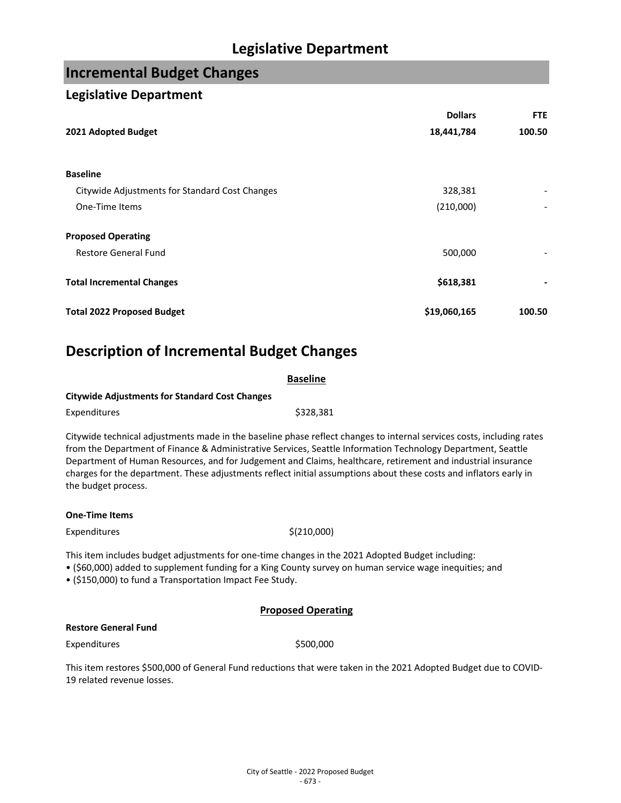## **Incremental Budget Changes**

### **Legislative Department**

|                                                | <b>Dollars</b> | <b>FTE</b> |
|------------------------------------------------|----------------|------------|
| 2021 Adopted Budget                            | 18,441,784     | 100.50     |
|                                                |                |            |
| <b>Baseline</b>                                |                |            |
| Citywide Adjustments for Standard Cost Changes | 328,381        |            |
| One-Time Items                                 | (210,000)      |            |
| <b>Proposed Operating</b>                      |                |            |
| <b>Restore General Fund</b>                    | 500,000        |            |
| <b>Total Incremental Changes</b>               | \$618,381      |            |
| <b>Total 2022 Proposed Budget</b>              | \$19,060,165   | 100.50     |

## **Description of Incremental Budget Changes**

|                                                       | <b>Baseline</b>                                                                                                                                                                    |
|-------------------------------------------------------|------------------------------------------------------------------------------------------------------------------------------------------------------------------------------------|
| <b>Citywide Adjustments for Standard Cost Changes</b> |                                                                                                                                                                                    |
| Expenditures                                          | \$328.381                                                                                                                                                                          |
|                                                       | Citywide technical adjustments made in the baseline phase reflect changes to internal so<br>from the Department of Einance 8, Administrative Convices, Coattle Information Technol |

ervices costs, including rates from the Department of Finance & Administrative Services, Seattle Information Technology Department, Seattle Department of Human Resources, and for Judgement and Claims, healthcare, retirement and industrial insurance charges for the department. These adjustments reflect initial assumptions about these costs and inflators early in the budget process.

### **One-Time Items**

 $Expenditures$   $\zeta(210,000)$ 

This item includes budget adjustments for one-time changes in the 2021 Adopted Budget including:

• (\$60,000) added to supplement funding for a King County survey on human service wage inequities; and

• (\$150,000) to fund a Transportation Impact Fee Study.

### **Proposed Operating**

### **Restore General Fund**

Expenditures \$500,000

This item restores \$500,000 of General Fund reductions that were taken in the 2021 Adopted Budget due to COVID-19 related revenue losses.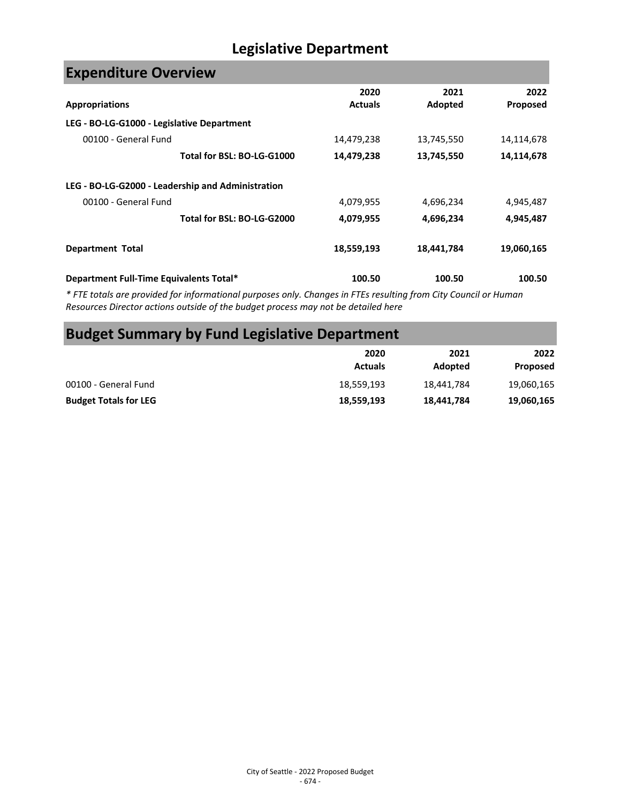| <b>Expenditure Overview</b>                       |                |            |                 |
|---------------------------------------------------|----------------|------------|-----------------|
|                                                   | 2020           | 2021       | 2022            |
| <b>Appropriations</b>                             | <b>Actuals</b> | Adopted    | <b>Proposed</b> |
| LEG - BO-LG-G1000 - Legislative Department        |                |            |                 |
| 00100 - General Fund                              | 14,479,238     | 13,745,550 | 14,114,678      |
| Total for BSL: BO-LG-G1000                        | 14,479,238     | 13,745,550 | 14,114,678      |
| LEG - BO-LG-G2000 - Leadership and Administration |                |            |                 |
| 00100 - General Fund                              | 4,079,955      | 4,696,234  | 4,945,487       |
| Total for BSL: BO-LG-G2000                        | 4,079,955      | 4,696,234  | 4,945,487       |
| <b>Department Total</b>                           | 18,559,193     | 18,441,784 | 19,060,165      |
| Department Full-Time Equivalents Total*           | 100.50         | 100.50     | 100.50          |

*\* FTE totals are provided for informational purposes only. Changes in FTEs resulting from City Council or Human Resources Director actions outside of the budget process may not be detailed here*

# **Budget Summary by Fund Legislative Department**

|                              | 2020<br><b>Actuals</b> | 2021<br>Adopted | 2022<br>Proposed |
|------------------------------|------------------------|-----------------|------------------|
| 00100 - General Fund         | 18,559,193             | 18,441,784      | 19,060,165       |
| <b>Budget Totals for LEG</b> | 18,559,193             | 18,441,784      | 19,060,165       |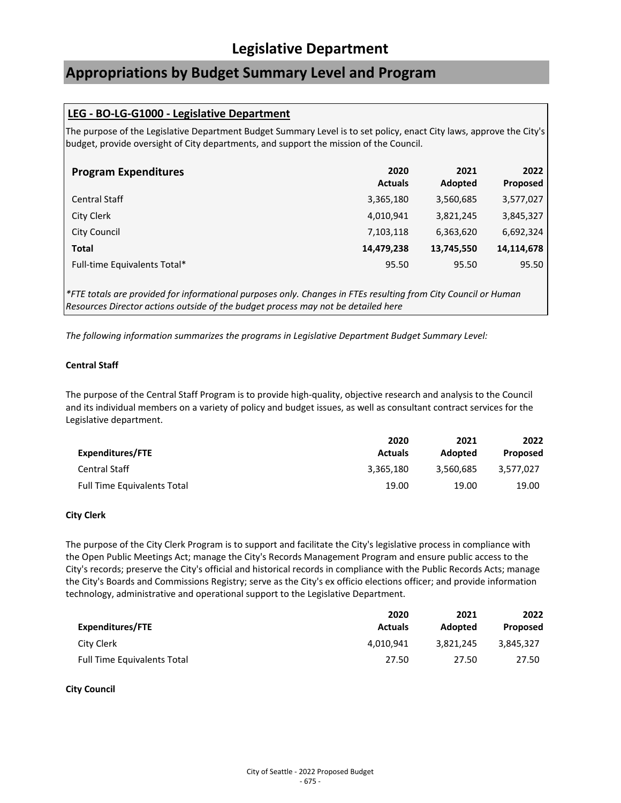## **Appropriations by Budget Summary Level and Program**

### **LEG - BO-LG-G1000 - Legislative Department**

The purpose of the Legislative Department Budget Summary Level is to set policy, enact City laws, approve the City's budget, provide oversight of City departments, and support the mission of the Council.

| <b>Program Expenditures</b>  | 2020<br><b>Actuals</b> | 2021<br>Adopted | 2022<br>Proposed |
|------------------------------|------------------------|-----------------|------------------|
| <b>Central Staff</b>         | 3,365,180              | 3,560,685       | 3,577,027        |
| City Clerk                   | 4,010,941              | 3,821,245       | 3,845,327        |
| City Council                 | 7,103,118              | 6,363,620       | 6,692,324        |
| <b>Total</b>                 | 14,479,238             | 13,745,550      | 14,114,678       |
| Full-time Equivalents Total* | 95.50                  | 95.50           | 95.50            |

*\*FTE totals are provided for informational purposes only. Changes in FTEs resulting from City Council or Human Resources Director actions outside of the budget process may not be detailed here*

*The following information summarizes the programs in Legislative Department Budget Summary Level:*

### **Central Staff**

The purpose of the Central Staff Program is to provide high-quality, objective research and analysis to the Council and its individual members on a variety of policy and budget issues, as well as consultant contract services for the Legislative department.

|                                    | 2020           | 2021      | 2022      |
|------------------------------------|----------------|-----------|-----------|
| Expenditures/FTE                   | <b>Actuals</b> | Adopted   | Proposed  |
| <b>Central Staff</b>               | 3.365.180      | 3.560.685 | 3.577.027 |
| <b>Full Time Equivalents Total</b> | 19.00          | 19.00     | 19.00     |

### **City Clerk**

The purpose of the City Clerk Program is to support and facilitate the City's legislative process in compliance with the Open Public Meetings Act; manage the City's Records Management Program and ensure public access to the City's records; preserve the City's official and historical records in compliance with the Public Records Acts; manage the City's Boards and Commissions Registry; serve as the City's ex officio elections officer; and provide information technology, administrative and operational support to the Legislative Department.

|                                    | 2020           | 2021      | 2022      |
|------------------------------------|----------------|-----------|-----------|
| Expenditures/FTE                   | <b>Actuals</b> | Adopted   | Proposed  |
| City Clerk                         | 4.010.941      | 3.821.245 | 3.845.327 |
| <b>Full Time Equivalents Total</b> | 27.50          | 27.50     | 27.50     |

#### **City Council**